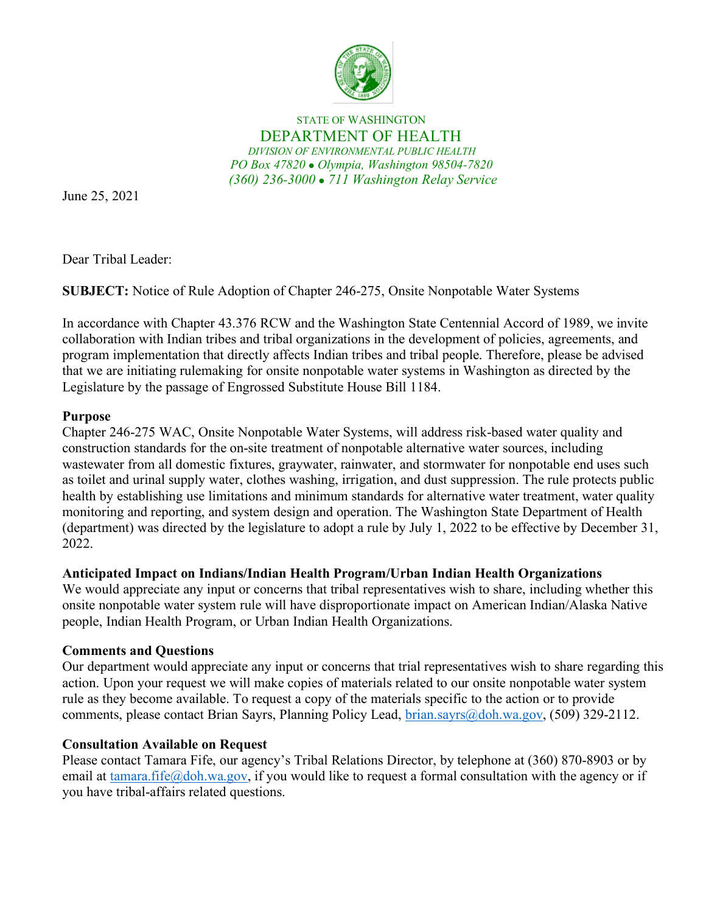

STATE OF WASHINGTON DEPARTMENT OF HEALTH *DIVISION OF ENVIRONMENTAL PUBLIC HEALTH PO Box 47820 Olympia, Washington 98504-7820 (360) 236-3000 711 Washington Relay Service*

June 25, 2021

Dear Tribal Leader:

**SUBJECT:** Notice of Rule Adoption of Chapter 246-275, Onsite Nonpotable Water Systems

In accordance with Chapter 43.376 RCW and the Washington State Centennial Accord of 1989, we invite collaboration with Indian tribes and tribal organizations in the development of policies, agreements, and program implementation that directly affects Indian tribes and tribal people. Therefore, please be advised that we are initiating rulemaking for onsite nonpotable water systems in Washington as directed by the Legislature by the passage of Engrossed Substitute House Bill 1184.

## **Purpose**

Chapter 246-275 WAC, Onsite Nonpotable Water Systems, will address risk-based water quality and construction standards for the on-site treatment of nonpotable alternative water sources, including wastewater from all domestic fixtures, graywater, rainwater, and stormwater for nonpotable end uses such as toilet and urinal supply water, clothes washing, irrigation, and dust suppression. The rule protects public health by establishing use limitations and minimum standards for alternative water treatment, water quality monitoring and reporting, and system design and operation. The Washington State Department of Health (department) was directed by the legislature to adopt a rule by July 1, 2022 to be effective by December 31, 2022.

## **Anticipated Impact on Indians/Indian Health Program/Urban Indian Health Organizations**

We would appreciate any input or concerns that tribal representatives wish to share, including whether this onsite nonpotable water system rule will have disproportionate impact on American Indian/Alaska Native people, Indian Health Program, or Urban Indian Health Organizations.

## **Comments and Questions**

Our department would appreciate any input or concerns that trial representatives wish to share regarding this action. Upon your request we will make copies of materials related to our onsite nonpotable water system rule as they become available. To request a copy of the materials specific to the action or to provide comments, please contact Brian Sayrs, Planning Policy Lead, [brian.sayrs@doh.wa.gov,](mailto:brian.sayrs@doh.wa.gov) (509) 329-2112.

## **Consultation Available on Request**

Please contact Tamara Fife, our agency's Tribal Relations Director, by telephone at (360) 870-8903 or by email at [tamara.fife@doh.wa.gov,](mailto:tamara.fife@doh.wa.gov) if you would like to request a formal consultation with the agency or if you have tribal-affairs related questions.